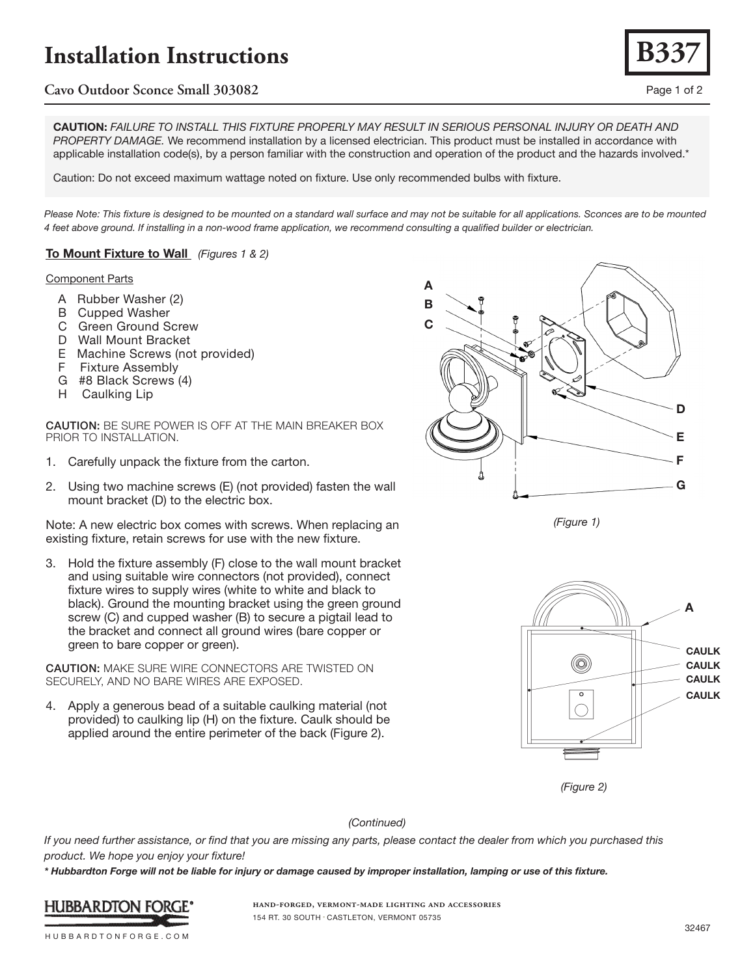# **Installation Instructions**

# **Cavo Outdoor Sconce Small 303082** Page 1 of 2

CAUTION: *FAILURE TO INSTALL THIS FIXTURE PROPERLY MAY RESULT IN SERIOUS PERSONAL INJURY OR DEATH AND PROPERTY DAMAGE.* We recommend installation by a licensed electrician. This product must be installed in accordance with applicable installation code(s), by a person familiar with the construction and operation of the product and the hazards involved.\*

Caution: Do not exceed maximum wattage noted on fixture. Use only recommended bulbs with fixture.

Please Note: This fixture is designed to be mounted on a standard wall surface and may not be suitable for all applications. Sconces are to be mounted *4 feet above ground. If installing in a non-wood frame application, we recommend consulting a qualified builder or electrician.*

### To Mount Fixture to Wall *(Figures 1 & 2)*

#### Component Parts

- A Rubber Washer (2)
- B Cupped Washer
- C Green Ground Screw
- D Wall Mount Bracket
- E Machine Screws (not provided)
- F Fixture Assembly
- G #8 Black Screws (4)
- H Caulking Lip

CAUTION: BE SURE POWER IS OFF AT THE MAIN BREAKER BOX PRIOR TO INSTALLATION.

- 1. Carefully unpack the fixture from the carton.
- 2. Using two machine screws (E) (not provided) fasten the wall mount bracket (D) to the electric box.

Note: A new electric box comes with screws. When replacing an existing fixture, retain screws for use with the new fixture.

3. Hold the fixture assembly (F) close to the wall mount bracket and using suitable wire connectors (not provided), connect fixture wires to supply wires (white to white and black to black). Ground the mounting bracket using the green ground screw (C) and cupped washer (B) to secure a pigtail lead to the bracket and connect all ground wires (bare copper or green to bare copper or green).

CAUTION: MAKE SURE WIRE CONNECTORS ARE TWISTED ON SECURELY, AND NO BARE WIRES ARE EXPOSED.

4. Apply a generous bead of a suitable caulking material (not provided) to caulking lip (H) on the fixture. Caulk should be applied around the entire perimeter of the back (Figure 2).



*(Figure 1)*



*(Figure 2)*

#### *(Continued)*

*If you need further assistance, or find that you are missing any parts, please contact the dealer from which you purchased this product. We hope you enjoy your fixture!* 

*\* Hubbardton Forge will not be liable for injury or damage caused by improper installation, lamping or use of this fixture.*



**hand-forged, vermont-made lighting and accessories** 154 RT. 30 SOUTH • CASTLETON, VERMONT 05735

HUBBARDTONFORGE.COM